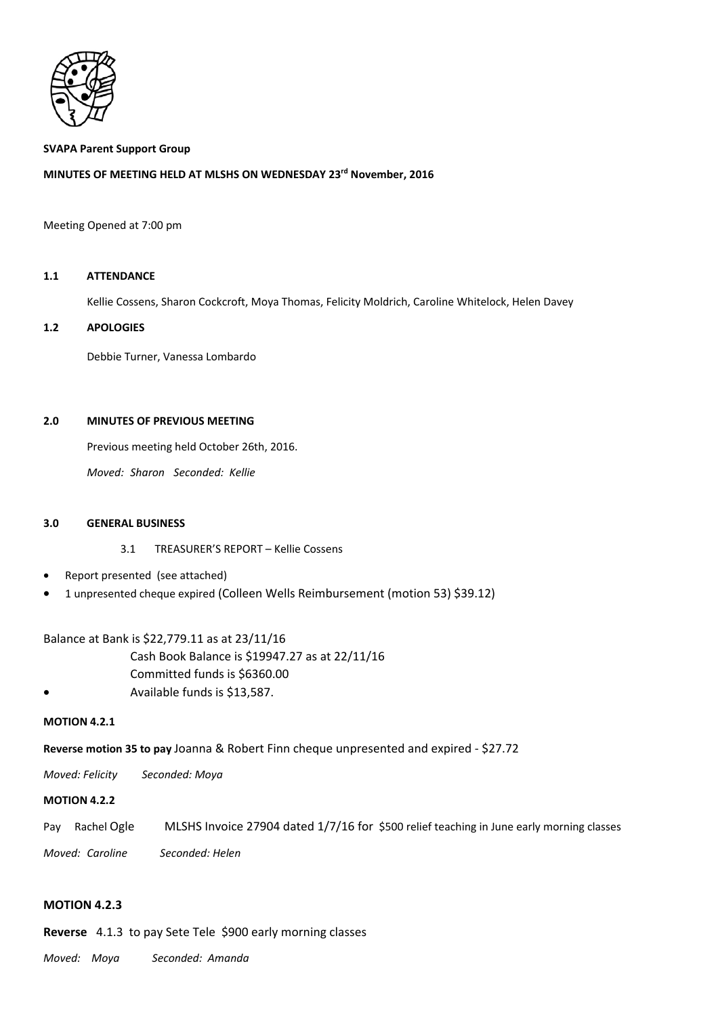

#### **SVAPA Parent Support Group**

### **MINUTES OF MEETING HELD AT MLSHS ON WEDNESDAY 23rd November, 2016**

#### Meeting Opened at 7:00 pm

#### **1.1 ATTENDANCE**

Kellie Cossens, Sharon Cockcroft, Moya Thomas, Felicity Moldrich, Caroline Whitelock, Helen Davey

### **1.2 APOLOGIES**

Debbie Turner, Vanessa Lombardo

### **2.0 MINUTES OF PREVIOUS MEETING**

Previous meeting held October 26th, 2016.

*Moved: Sharon Seconded: Kellie* 

### **3.0 GENERAL BUSINESS**

3.1 TREASURER'S REPORT – Kellie Cossens

- Report presented (see attached)
- 1 unpresented cheque expired (Colleen Wells Reimbursement (motion 53) \$39.12)

Balance at Bank is \$22,779.11 as at 23/11/16

 Cash Book Balance is \$19947.27 as at 22/11/16 Committed funds is \$6360.00

• Available funds is \$13,587.

#### **MOTION 4.2.1**

**Reverse motion 35 to pay** Joanna & Robert Finn cheque unpresented and expired - \$27.72

### **MOTION 4.2.2**

Pay Rachel Ogle MLSHS Invoice 27904 dated 1/7/16 for \$500 relief teaching in June early morning classes *Moved: Caroline Seconded: Helen* 

# **MOTION 4.2.3**

**Reverse** 4.1.3 to pay Sete Tele \$900 early morning classes

*Moved: Moya Seconded: Amanda*